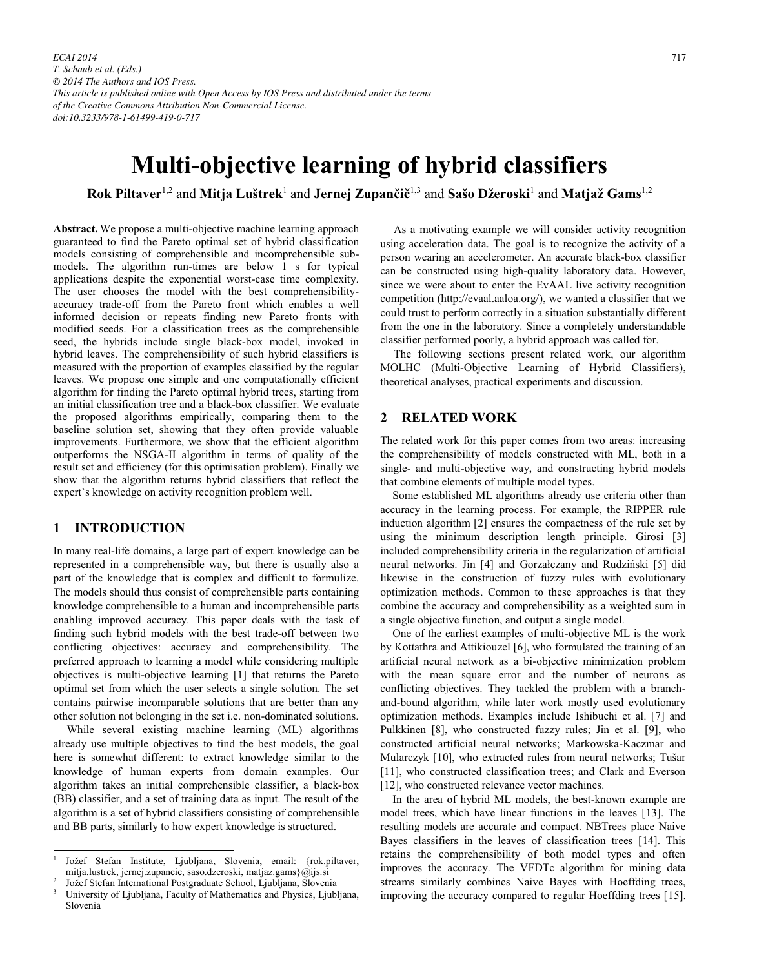# **Multi-objective learning of hybrid classifiers**

**Rok Piltaver**1,2 and **Mitja Luštrek**<sup>1</sup> and **Jernej Zupančič**1,3 and **Sašo Džeroski**<sup>1</sup> and **Matjaž Gams**1,2

**Abstract.** We propose a multi-objective machine learning approach guaranteed to find the Pareto optimal set of hybrid classification models consisting of comprehensible and incomprehensible submodels. The algorithm run-times are below  $\overline{1}$  s for typical applications despite the exponential worst-case time complexity. The user chooses the model with the best comprehensibilityaccuracy trade-off from the Pareto front which enables a well informed decision or repeats finding new Pareto fronts with modified seeds. For a classification trees as the comprehensible seed, the hybrids include single black-box model, invoked in hybrid leaves. The comprehensibility of such hybrid classifiers is measured with the proportion of examples classified by the regular leaves. We propose one simple and one computationally efficient algorithm for finding the Pareto optimal hybrid trees, starting from an initial classification tree and a black-box classifier. We evaluate the proposed algorithms empirically, comparing them to the baseline solution set, showing that they often provide valuable improvements. Furthermore, we show that the efficient algorithm outperforms the NSGA-II algorithm in terms of quality of the result set and efficiency (for this optimisation problem). Finally we show that the algorithm returns hybrid classifiers that reflect the expert's knowledge on activity recognition problem well.

## **1 INTRODUCTION**

In many real-life domains, a large part of expert knowledge can be represented in a comprehensible way, but there is usually also a part of the knowledge that is complex and difficult to formulize. The models should thus consist of comprehensible parts containing knowledge comprehensible to a human and incomprehensible parts enabling improved accuracy. This paper deals with the task of finding such hybrid models with the best trade-off between two conflicting objectives: accuracy and comprehensibility. The preferred approach to learning a model while considering multiple objectives is multi-objective learning [1] that returns the Pareto optimal set from which the user selects a single solution. The set contains pairwise incomparable solutions that are better than any other solution not belonging in the set i.e. non-dominated solutions.

While several existing machine learning (ML) algorithms already use multiple objectives to find the best models, the goal here is somewhat different: to extract knowledge similar to the knowledge of human experts from domain examples. Our algorithm takes an initial comprehensible classifier, a black-box (BB) classifier, and a set of training data as input. The result of the algorithm is a set of hybrid classifiers consisting of comprehensible and BB parts, similarly to how expert knowledge is structured.

As a motivating example we will consider activity recognition using acceleration data. The goal is to recognize the activity of a person wearing an accelerometer. An accurate black-box classifier can be constructed using high-quality laboratory data. However, since we were about to enter the EvAAL live activity recognition competition (http://evaal.aaloa.org/), we wanted a classifier that we could trust to perform correctly in a situation substantially different from the one in the laboratory. Since a completely understandable classifier performed poorly, a hybrid approach was called for.

The following sections present related work, our algorithm MOLHC (Multi-Objective Learning of Hybrid Classifiers), theoretical analyses, practical experiments and discussion.

# **2 RELATED WORK**

The related work for this paper comes from two areas: increasing the comprehensibility of models constructed with ML, both in a single- and multi-objective way, and constructing hybrid models that combine elements of multiple model types.

Some established ML algorithms already use criteria other than accuracy in the learning process. For example, the RIPPER rule induction algorithm [2] ensures the compactness of the rule set by using the minimum description length principle. Girosi [3] included comprehensibility criteria in the regularization of artificial neural networks. Jin [4] and Gorzałczany and Rudziński [5] did likewise in the construction of fuzzy rules with evolutionary optimization methods. Common to these approaches is that they combine the accuracy and comprehensibility as a weighted sum in a single objective function, and output a single model.

One of the earliest examples of multi-objective ML is the work by Kottathra and Attikiouzel [6], who formulated the training of an artificial neural network as a bi-objective minimization problem with the mean square error and the number of neurons as conflicting objectives. They tackled the problem with a branchand-bound algorithm, while later work mostly used evolutionary optimization methods. Examples include Ishibuchi et al. [7] and Pulkkinen [8], who constructed fuzzy rules; Jin et al. [9], who constructed artificial neural networks; Markowska-Kaczmar and Mularczyk [10], who extracted rules from neural networks; Tušar [11], who constructed classification trees; and Clark and Everson [12], who constructed relevance vector machines.

In the area of hybrid ML models, the best-known example are model trees, which have linear functions in the leaves [13]. The resulting models are accurate and compact. NBTrees place Naive Bayes classifiers in the leaves of classification trees [14]. This retains the comprehensibility of both model types and often improves the accuracy. The VFDTc algorithm for mining data streams similarly combines Naive Bayes with Hoeffding trees, improving the accuracy compared to regular Hoeffding trees [15].

<sup>|&</sup>lt;br>|<br>| Jožef Stefan Institute, Ljubljana, Slovenia, email: {rok.piltaver, mitja.lustrek, jernej.zupancic, saso.dzeroski, matjaz.gams}@ijs.si 2

<sup>&</sup>lt;sup>2</sup> Jožef Stefan International Postgraduate School, Ljubljana, Slovenia<br><sup>3</sup> January of Ljubljana, Faculty of Mathematics and Physics, Ljub

University of Ljubljana, Faculty of Mathematics and Physics, Ljubljana, Slovenia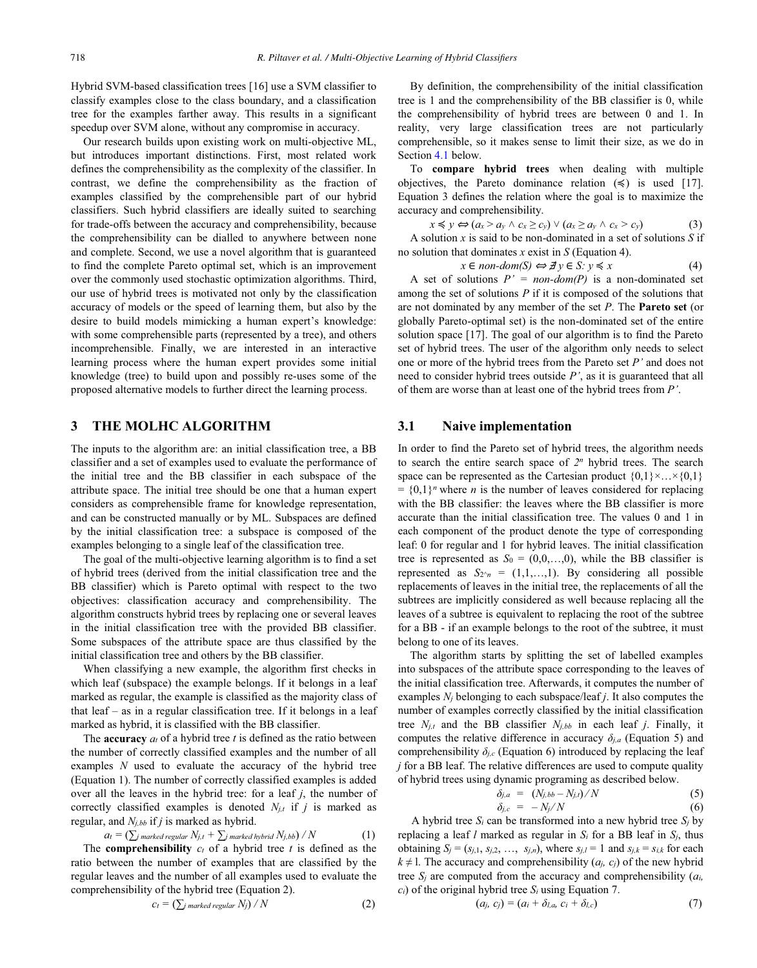Hybrid SVM-based classification trees [16] use a SVM classifier to classify examples close to the class boundary, and a classification tree for the examples farther away. This results in a significant speedup over SVM alone, without any compromise in accuracy.

Our research builds upon existing work on multi-objective ML, but introduces important distinctions. First, most related work defines the comprehensibility as the complexity of the classifier. In contrast, we define the comprehensibility as the fraction of examples classified by the comprehensible part of our hybrid classifiers. Such hybrid classifiers are ideally suited to searching for trade-offs between the accuracy and comprehensibility, because the comprehensibility can be dialled to anywhere between none and complete. Second, we use a novel algorithm that is guaranteed to find the complete Pareto optimal set, which is an improvement over the commonly used stochastic optimization algorithms. Third, our use of hybrid trees is motivated not only by the classification accuracy of models or the speed of learning them, but also by the desire to build models mimicking a human expert's knowledge: with some comprehensible parts (represented by a tree), and others incomprehensible. Finally, we are interested in an interactive learning process where the human expert provides some initial knowledge (tree) to build upon and possibly re-uses some of the proposed alternative models to further direct the learning process.

# **3 THE MOLHC ALGORITHM**

The inputs to the algorithm are: an initial classification tree, a BB classifier and a set of examples used to evaluate the performance of the initial tree and the BB classifier in each subspace of the attribute space. The initial tree should be one that a human expert considers as comprehensible frame for knowledge representation, and can be constructed manually or by ML. Subspaces are defined by the initial classification tree: a subspace is composed of the examples belonging to a single leaf of the classification tree.

The goal of the multi-objective learning algorithm is to find a set of hybrid trees (derived from the initial classification tree and the BB classifier) which is Pareto optimal with respect to the two objectives: classification accuracy and comprehensibility. The algorithm constructs hybrid trees by replacing one or several leaves in the initial classification tree with the provided BB classifier. Some subspaces of the attribute space are thus classified by the initial classification tree and others by the BB classifier.

When classifying a new example, the algorithm first checks in which leaf (subspace) the example belongs. If it belongs in a leaf marked as regular, the example is classified as the majority class of that leaf – as in a regular classification tree. If it belongs in a leaf marked as hybrid, it is classified with the BB classifier.

The **accuracy**  $a_t$  of a hybrid tree  $t$  is defined as the ratio between the number of correctly classified examples and the number of all examples *N* used to evaluate the accuracy of the hybrid tree (Equation 1). The number of correctly classified examples is added over all the leaves in the hybrid tree: for a leaf *j*, the number of correctly classified examples is denoted  $N_{i,t}$  if *j* is marked as regular, and *Nj,bb* if *j* is marked as hybrid.

$$
a_t = \left(\sum_{j \text{ marked regular}} N_{j,t} + \sum_{j \text{ marked hybrid}} N_{j,bb}\right) / N \tag{1}
$$

The **comprehensibility**  $c_t$  of a hybrid tree  $t$  is defined as the ratio between the number of examples that are classified by the regular leaves and the number of all examples used to evaluate the comprehensibility of the hybrid tree (Equation 2).

$$
c_t = \left(\sum_{j \text{ marked regular}} N_j\right) / N \tag{2}
$$

By definition, the comprehensibility of the initial classification tree is 1 and the comprehensibility of the BB classifier is 0, while the comprehensibility of hybrid trees are between 0 and 1. In reality, very large classification trees are not particularly comprehensible, so it makes sense to limit their size, as we do in Section [4.1 b](#page-2-0)elow.

To **compare hybrid trees** when dealing with multiple objectives, the Pareto dominance relation  $(\le)$  is used [17]. Equation 3 defines the relation where the goal is to maximize the accuracy and comprehensibility.

$$
x \le y \Leftrightarrow (a_x > a_y \land c_x \ge c_y) \lor (a_x \ge a_y \land c_x > c_y)
$$
 (3)  
A solution x is said to be non-dominated in a set of solutions S if

no solution that dominates x exist in S (Equation 4).  
\n
$$
x \in \text{non-dom}(S) \Leftrightarrow \exists y \in S: y \leq x
$$
 (4)

A set of solutions  $P' = non-dom(P)$  is a non-dominated set among the set of solutions *P* if it is composed of the solutions that are not dominated by any member of the set *P*. The **Pareto set** (or globally Pareto-optimal set) is the non-dominated set of the entire solution space [17]. The goal of our algorithm is to find the Pareto set of hybrid trees. The user of the algorithm only needs to select one or more of the hybrid trees from the Pareto set *P'* and does not need to consider hybrid trees outside *P'*, as it is guaranteed that all of them are worse than at least one of the hybrid trees from *P'*.

# **3.1 Naive implementation**

In order to find the Pareto set of hybrid trees, the algorithm needs to search the entire search space of *2n* hybrid trees. The search space can be represented as the Cartesian product  $\{0,1\} \times ... \times \{0,1\}$  $= \{0,1\}^n$  where *n* is the number of leaves considered for replacing with the BB classifier: the leaves where the BB classifier is more accurate than the initial classification tree. The values 0 and 1 in each component of the product denote the type of corresponding leaf: 0 for regular and 1 for hybrid leaves. The initial classification tree is represented as  $S_0 = (0,0,...,0)$ , while the BB classifier is represented as  $S_{2^{\wedge} n} = (1,1,...,1)$ . By considering all possible replacements of leaves in the initial tree, the replacements of all the subtrees are implicitly considered as well because replacing all the leaves of a subtree is equivalent to replacing the root of the subtree for a BB - if an example belongs to the root of the subtree, it must belong to one of its leaves.

The algorithm starts by splitting the set of labelled examples into subspaces of the attribute space corresponding to the leaves of the initial classification tree. Afterwards, it computes the number of examples *Nj* belonging to each subspace/leaf *j*. It also computes the number of examples correctly classified by the initial classification tree  $N_{j,t}$  and the BB classifier  $N_{j,bb}$  in each leaf *j*. Finally, it computes the relative difference in accuracy  $\delta_{i,a}$  (Equation 5) and comprehensibility  $\delta_{j,c}$  (Equation 6) introduced by replacing the leaf *j* for a BB leaf. The relative differences are used to compute quality of hybrid trees using dynamic programing as described below.

$$
\delta_{j,a} = (N_{j,bb} - N_{j,t})/N \tag{5}
$$

$$
\delta_{j,c} = -N_j/N \tag{6}
$$

A hybrid tree  $S_i$  can be transformed into a new hybrid tree  $S_j$  by replacing a leaf *l* marked as regular in *Si* for a BB leaf in *Sj*, thus obtaining  $S_j = (s_{j,1}, s_{j,2}, \ldots, s_{j,n})$ , where  $s_{j,l} = 1$  and  $s_{j,k} = s_{i,k}$  for each  $k \neq 1$ . The accuracy and comprehensibility  $(a_j, c_j)$  of the new hybrid tree  $S_i$  are computed from the accuracy and comprehensibility  $(a_i, a_j)$ *ci*) of the original hybrid tree *Si* using Equation 7.

$$
(aj, cj) = (ai + \deltal,a, ci + \deltal,c)
$$
\n(7)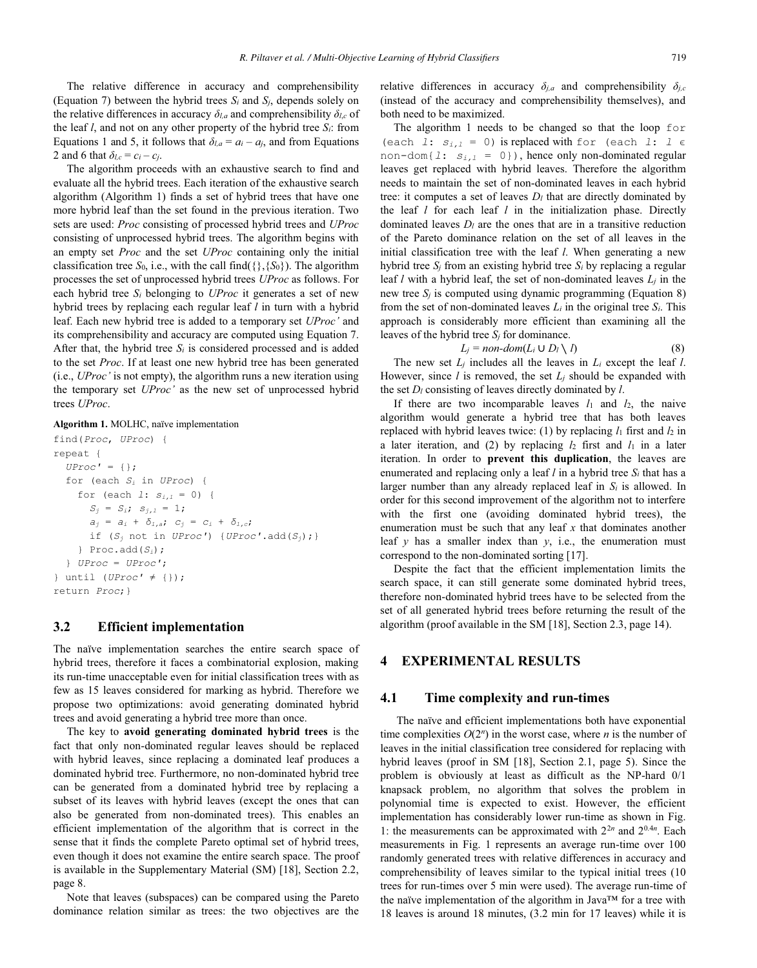<span id="page-2-0"></span>The relative difference in accuracy and comprehensibility (Equation 7) between the hybrid trees  $S_i$  and  $S_j$ , depends solely on the relative differences in accuracy  $\delta_{l,a}$  and comprehensibility  $\delta_{l,c}$  of the leaf *l*, and not on any other property of the hybrid tree *Si*: from Equations 1 and 5, it follows that  $\delta_{l,a} = a_i - a_i$ , and from Equations 2 and 6 that  $\delta_{l,c} = c_i - c_j$ .

The algorithm proceeds with an exhaustive search to find and evaluate all the hybrid trees. Each iteration of the exhaustive search algorithm (Algorithm 1) finds a set of hybrid trees that have one more hybrid leaf than the set found in the previous iteration. Two sets are used: *Proc* consisting of processed hybrid trees and *UProc* consisting of unprocessed hybrid trees. The algorithm begins with an empty set *Proc* and the set *UProc* containing only the initial classification tree *S*0, i.e., with the call find({},{*S*0}). The algorithm processes the set of unprocessed hybrid trees *UProc* as follows. For each hybrid tree *Si* belonging to *UProc* it generates a set of new hybrid trees by replacing each regular leaf *l* in turn with a hybrid leaf. Each new hybrid tree is added to a temporary set *UProc'* and its comprehensibility and accuracy are computed using Equation 7. After that, the hybrid tree  $S_i$  is considered processed and is added to the set *Proc*. If at least one new hybrid tree has been generated (i.e., *UProc'* is not empty), the algorithm runs a new iteration using the temporary set *UProc'* as the new set of unprocessed hybrid trees *UProc*.

#### **Algorithm 1.** MOLHC, naïve implementation

find(*Proc*, *UProc*) { repeat { *UProc'* = {}; for (each *Si* in *UProc*) { for (each *l*: *si,l* = 0) {  $S_j = S_i; s_{j,1} = 1;$  $a_j = a_i + \delta_{l,a}; c_j = c_i + \delta_{l,c};$ if  $(S_i \text{ not in } UProc') \{ UProc'.add(S_i); \}$  } Proc.add(*Si*); } *UProc* = *UProc'*; } until (*UProc'* ≠ {}); return *Proc*;}

# **3.2 Efficient implementation**

The naïve implementation searches the entire search space of hybrid trees, therefore it faces a combinatorial explosion, making its run-time unacceptable even for initial classification trees with as few as 15 leaves considered for marking as hybrid. Therefore we propose two optimizations: avoid generating dominated hybrid trees and avoid generating a hybrid tree more than once.

The key to **avoid generating dominated hybrid trees** is the fact that only non-dominated regular leaves should be replaced with hybrid leaves, since replacing a dominated leaf produces a dominated hybrid tree. Furthermore, no non-dominated hybrid tree can be generated from a dominated hybrid tree by replacing a subset of its leaves with hybrid leaves (except the ones that can also be generated from non-dominated trees). This enables an efficient implementation of the algorithm that is correct in the sense that it finds the complete Pareto optimal set of hybrid trees, even though it does not examine the entire search space. The proof is available in the Supplementary Material (SM) [18], Section 2.2, page 8.

Note that leaves (subspaces) can be compared using the Pareto dominance relation similar as trees: the two objectives are the relative differences in accuracy  $\delta_{i,a}$  and comprehensibility  $\delta_{i,c}$ (instead of the accuracy and comprehensibility themselves), and both need to be maximized.

The algorithm 1 needs to be changed so that the loop for (each *l*:  $s_{i,j} = 0$ ) is replaced with for (each *l*: *l*  $\epsilon$ non-dom{ $l$ :  $s_{i,l}$  = 0}), hence only non-dominated regular leaves get replaced with hybrid leaves. Therefore the algorithm needs to maintain the set of non-dominated leaves in each hybrid tree: it computes a set of leaves  $D_l$  that are directly dominated by the leaf *l* for each leaf *l* in the initialization phase. Directly dominated leaves  $D_l$  are the ones that are in a transitive reduction of the Pareto dominance relation on the set of all leaves in the initial classification tree with the leaf *l*. When generating a new hybrid tree *Sj* from an existing hybrid tree *Si* by replacing a regular leaf  $l$  with a hybrid leaf, the set of non-dominated leaves  $L_i$  in the new tree  $S_i$  is computed using dynamic programming (Equation 8) from the set of non-dominated leaves  $L_i$  in the original tree  $S_i$ . This approach is considerably more efficient than examining all the leaves of the hybrid tree *Sj* for dominance.

$$
L_j = \text{non-dom}(L_i \cup D_l \setminus l) \tag{8}
$$

The new set *Lj* includes all the leaves in *Li* except the leaf *l*. However, since  $l$  is removed, the set  $L_i$  should be expanded with the set *Dl* consisting of leaves directly dominated by *l*.

If there are two incomparable leaves  $l_1$  and  $l_2$ , the naive algorithm would generate a hybrid tree that has both leaves replaced with hybrid leaves twice: (1) by replacing  $l_1$  first and  $l_2$  in a later iteration, and (2) by replacing  $l_2$  first and  $l_1$  in a later iteration. In order to **prevent this duplication**, the leaves are enumerated and replacing only a leaf *l* in a hybrid tree *Si* that has a larger number than any already replaced leaf in *Si* is allowed. In order for this second improvement of the algorithm not to interfere with the first one (avoiding dominated hybrid trees), the enumeration must be such that any leaf *x* that dominates another leaf  $y$  has a smaller index than  $y$ , i.e., the enumeration must correspond to the non-dominated sorting [17].

Despite the fact that the efficient implementation limits the search space, it can still generate some dominated hybrid trees, therefore non-dominated hybrid trees have to be selected from the set of all generated hybrid trees before returning the result of the algorithm (proof available in the SM [18], Section 2.3, page 14).

# **4 EXPERIMENTAL RESULTS**

#### **4.1 Time complexity and run-times**

 The naïve and efficient implementations both have exponential time complexities  $O(2^n)$  in the worst case, where *n* is the number of leaves in the initial classification tree considered for replacing with hybrid leaves (proof in SM [18], Section 2.1, page 5). Since the problem is obviously at least as difficult as the NP-hard 0/1 knapsack problem, no algorithm that solves the problem in polynomial time is expected to exist. However, the efficient implementation has considerably lower run-time as shown in Fig. 1: the measurements can be approximated with  $2^{2n}$  and  $2^{0.4n}$ . Each measurements in Fig. 1 represents an average run-time over 100 randomly generated trees with relative differences in accuracy and comprehensibility of leaves similar to the typical initial trees (10 trees for run-times over 5 min were used). The average run-time of the naïve implementation of the algorithm in Java™ for a tree with 18 leaves is around 18 minutes, (3.2 min for 17 leaves) while it is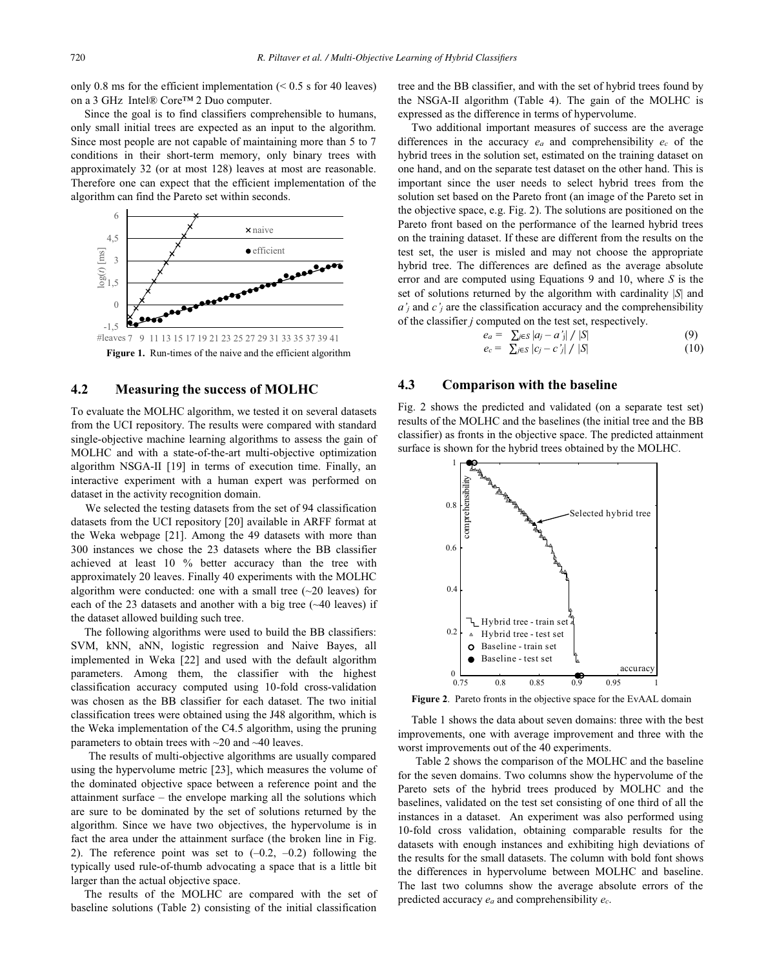only 0.8 ms for the efficient implementation  $(< 0.5$  s for 40 leaves) on a 3 GHz Intel® Core™ 2 Duo computer.

Since the goal is to find classifiers comprehensible to humans, only small initial trees are expected as an input to the algorithm. Since most people are not capable of maintaining more than 5 to 7 conditions in their short-term memory, only binary trees with approximately 32 (or at most 128) leaves at most are reasonable. Therefore one can expect that the efficient implementation of the algorithm can find the Pareto set within seconds.



Figure 1. Run-times of the naive and the efficient algorithm

## **4.2 Measuring the success of MOLHC**

To evaluate the MOLHC algorithm, we tested it on several datasets from the UCI repository. The results were compared with standard single-objective machine learning algorithms to assess the gain of MOLHC and with a state-of-the-art multi-objective optimization algorithm NSGA-II [19] in terms of execution time. Finally, an interactive experiment with a human expert was performed on dataset in the activity recognition domain.

 We selected the testing datasets from the set of 94 classification datasets from the UCI repository [20] available in ARFF format at the Weka webpage [21]. Among the 49 datasets with more than 300 instances we chose the 23 datasets where the BB classifier achieved at least 10 % better accuracy than the tree with approximately 20 leaves. Finally 40 experiments with the MOLHC algorithm were conducted: one with a small tree  $(\sim 20 \text{ leaves})$  for each of the 23 datasets and another with a big tree (~40 leaves) if the dataset allowed building such tree.

The following algorithms were used to build the BB classifiers: SVM, kNN, aNN, logistic regression and Naive Bayes, all implemented in Weka [22] and used with the default algorithm parameters. Among them, the classifier with the highest classification accuracy computed using 10-fold cross-validation was chosen as the BB classifier for each dataset. The two initial classification trees were obtained using the J48 algorithm, which is the Weka implementation of the C4.5 algorithm, using the pruning parameters to obtain trees with ~20 and ~40 leaves.

The results of multi-objective algorithms are usually compared using the hypervolume metric [23], which measures the volume of the dominated objective space between a reference point and the attainment surface – the envelope marking all the solutions which are sure to be dominated by the set of solutions returned by the algorithm. Since we have two objectives, the hypervolume is in fact the area under the attainment surface (the broken line in Fig. 2). The reference point was set to  $(-0.2, -0.2)$  following the typically used rule-of-thumb advocating a space that is a little bit larger than the actual objective space.

The results of the MOLHC are compared with the set of baseline solutions (Table 2) consisting of the initial classification

tree and the BB classifier, and with the set of hybrid trees found by the NSGA-II algorithm (Table 4). The gain of the MOLHC is expressed as the difference in terms of hypervolume.

Two additional important measures of success are the average differences in the accuracy *ea* and comprehensibility *ec* of the hybrid trees in the solution set, estimated on the training dataset on one hand, and on the separate test dataset on the other hand. This is important since the user needs to select hybrid trees from the solution set based on the Pareto front (an image of the Pareto set in the objective space, e.g. Fig. 2). The solutions are positioned on the Pareto front based on the performance of the learned hybrid trees on the training dataset. If these are different from the results on the test set, the user is misled and may not choose the appropriate hybrid tree. The differences are defined as the average absolute error and are computed using Equations 9 and 10, where *S* is the set of solutions returned by the algorithm with cardinality |*S*| and  $a'$ <sup>*j*</sup> and *c'*<sup>*j*</sup> are the classification accuracy and the comprehensibility of the classifier *j* computed on the test set, respectively.

$$
e_{a} = \sum_{j \in S} |a_{j} - a'_{j}| / |S|
$$
  
\n
$$
e_{c} = \sum_{j \in S} |c_{j} - c'_{j}| / |S|
$$
 (9)

## **4.3 Comparison with the baseline**

Fig. 2 shows the predicted and validated (on a separate test set) results of the MOLHC and the baselines (the initial tree and the BB classifier) as fronts in the objective space. The predicted attainment surface is shown for the hybrid trees obtained by the MOLHC.



**Figure 2**. Pareto fronts in the objective space for the EvAAL domain

Table 1 shows the data about seven domains: three with the best improvements, one with average improvement and three with the worst improvements out of the 40 experiments.

Table 2 shows the comparison of the MOLHC and the baseline for the seven domains. Two columns show the hypervolume of the Pareto sets of the hybrid trees produced by MOLHC and the baselines, validated on the test set consisting of one third of all the instances in a dataset. An experiment was also performed using 10-fold cross validation, obtaining comparable results for the datasets with enough instances and exhibiting high deviations of the results for the small datasets. The column with bold font shows the differences in hypervolume between MOLHC and baseline. The last two columns show the average absolute errors of the predicted accuracy *ea* and comprehensibility *ec*.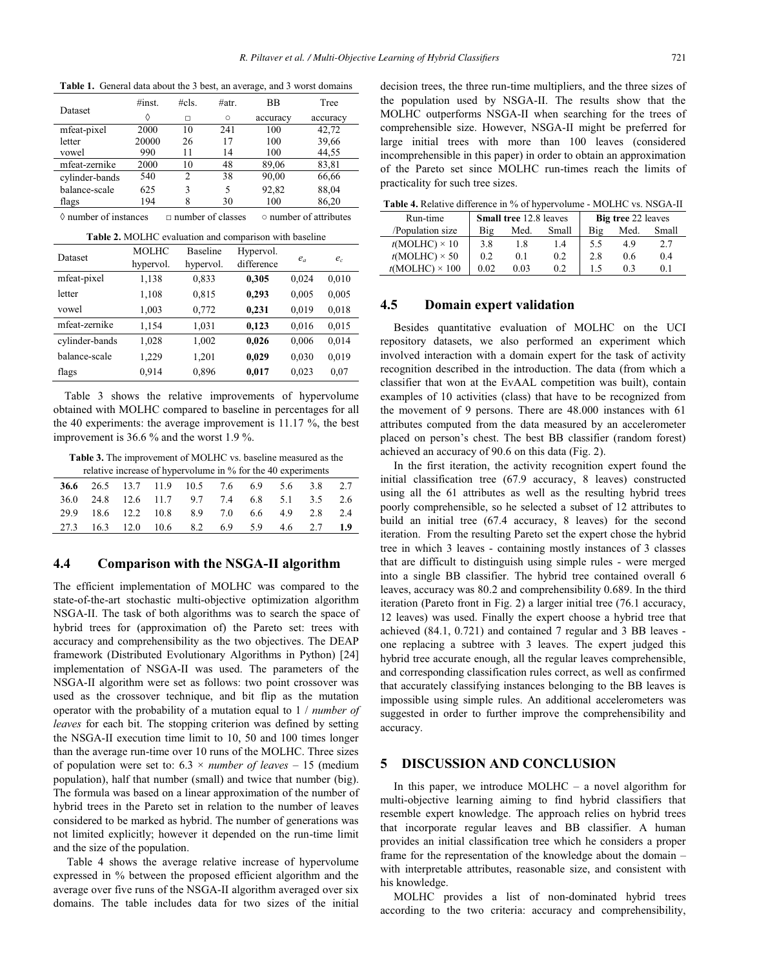**Table 1.** General data about the 3 best, an average, and 3 worst domains

| Dataset        | $\#inst.$ | $\#cls.$       | #atr.   | <b>BB</b> | Tree     |
|----------------|-----------|----------------|---------|-----------|----------|
|                | ♦         | п              | $\circ$ | accuracy  | accuracy |
| mfeat-pixel    | 2000      | 10             | 241     | 100       | 42,72    |
| letter         | 20000     | 26             | 17      | 100       | 39,66    |
| vowel          | 990       | 11             | 14      | 100       | 44,55    |
| mfeat-zernike  | 2000      | 10             | 48      | 89,06     | 83,81    |
| cylinder-bands | 540       | $\mathfrak{D}$ | 38      | 90,00     | 66,66    |
| balance-scale  | 625       | 3              | 5       | 92,82     | 88,04    |
| flags          | 194       |                | 30      | 100       | 86.20    |
|                |           |                |         |           |          |

 $\Diamond$  number of instances  $\Box$  number of classes  $\Diamond$  number of attributes

| Table 2. MOLHC evaluation and comparison with baseline |              |                 |            |       |       |  |  |
|--------------------------------------------------------|--------------|-----------------|------------|-------|-------|--|--|
| Dataset                                                | <b>MOLHC</b> | <b>Baseline</b> | Hypervol.  | $e_a$ |       |  |  |
|                                                        | hypervol.    | hypervol.       | difference |       | $e_c$ |  |  |
| mfeat-pixel                                            | 1,138        | 0,833           | 0,305      | 0,024 | 0,010 |  |  |
| letter                                                 | 1,108        | 0.815           | 0,293      | 0.005 | 0,005 |  |  |
| vowel                                                  | 1,003        | 0,772           | 0,231      | 0.019 | 0,018 |  |  |
| mfeat-zernike                                          | 1,154        | 1,031           | 0,123      | 0,016 | 0,015 |  |  |
| cylinder-bands                                         | 1,028        | 1,002           | 0,026      | 0,006 | 0,014 |  |  |
| balance-scale                                          | 1,229        | 1,201           | 0,029      | 0,030 | 0,019 |  |  |
| flags                                                  | 0.914        | 0,896           | 0,017      | 0,023 | 0,07  |  |  |

Table 3 shows the relative improvements of hypervolume obtained with MOLHC compared to baseline in percentages for all the 40 experiments: the average improvement is 11.17 %, the best improvement is 36.6 % and the worst 1.9 %.

**Table 3.** The improvement of MOLHC vs. baseline measured as the relative increase of hypervolume in  $\frac{1}{2}$  for the 40 experiments

| relative increase of hypervolume in 70 for the 40 experiments |  |  |  |                                                     |  |  |  |  |  |
|---------------------------------------------------------------|--|--|--|-----------------------------------------------------|--|--|--|--|--|
|                                                               |  |  |  | <b>36.6</b> 26.5 13.7 11.9 10.5 7.6 6.9 5.6 3.8 2.7 |  |  |  |  |  |
|                                                               |  |  |  | 36.0 24.8 12.6 11.7 9.7 7.4 6.8 5.1 3.5 2.6         |  |  |  |  |  |
|                                                               |  |  |  | 29.9 18.6 12.2 10.8 8.9 7.0 6.6 4.9 2.8 2.4         |  |  |  |  |  |
|                                                               |  |  |  | 27.3 16.3 12.0 10.6 8.2 6.9 5.9 4.6 2.7 1.9         |  |  |  |  |  |

# **4.4 Comparison with the NSGA-II algorithm**

The efficient implementation of MOLHC was compared to the state-of-the-art stochastic multi-objective optimization algorithm NSGA-II. The task of both algorithms was to search the space of hybrid trees for (approximation of) the Pareto set: trees with accuracy and comprehensibility as the two objectives. The DEAP framework (Distributed Evolutionary Algorithms in Python) [24] implementation of NSGA-II was used. The parameters of the NSGA-II algorithm were set as follows: two point crossover was used as the crossover technique, and bit flip as the mutation operator with the probability of a mutation equal to 1 / *number of leaves* for each bit. The stopping criterion was defined by setting the NSGA-II execution time limit to 10, 50 and 100 times longer than the average run-time over 10 runs of the MOLHC. Three sizes of population were set to:  $6.3 \times number of leaves - 15$  (medium population), half that number (small) and twice that number (big). The formula was based on a linear approximation of the number of hybrid trees in the Pareto set in relation to the number of leaves considered to be marked as hybrid. The number of generations was not limited explicitly; however it depended on the run-time limit and the size of the population.

Table 4 shows the average relative increase of hypervolume expressed in % between the proposed efficient algorithm and the average over five runs of the NSGA-II algorithm averaged over six domains. The table includes data for two sizes of the initial decision trees, the three run-time multipliers, and the three sizes of the population used by NSGA-II. The results show that the MOLHC outperforms NSGA-II when searching for the trees of comprehensible size. However, NSGA-II might be preferred for large initial trees with more than 100 leaves (considered incomprehensible in this paper) in order to obtain an approximation of the Pareto set since MOLHC run-times reach the limits of practicality for such tree sizes.

**Table 4.** Relative difference in % of hypervolume - MOLHC vs. NSGA-II

| Run-time              | <b>Small tree 12.8 leaves</b> |      |       | <b>Big tree</b> 22 leaves |      |       |
|-----------------------|-------------------------------|------|-------|---------------------------|------|-------|
| /Population size      | Big                           | Med. | Small | Big                       | Med. | Small |
| $t(MOLHC) \times 10$  | 3.8                           | 18   | 1.4   | 5.5                       | 4.9  | 2.7   |
| $t(MOLHC) \times 50$  | 0.2                           | 01   | 0.2   | 2.8                       | 0.6  | 0.4   |
| $t(MOLHC) \times 100$ | 0.02                          | 0.03 | 0.2   |                           | 03   | 01    |

# **4.5 Domain expert validation**

Besides quantitative evaluation of MOLHC on the UCI repository datasets, we also performed an experiment which involved interaction with a domain expert for the task of activity recognition described in the introduction. The data (from which a classifier that won at the EvAAL competition was built), contain examples of 10 activities (class) that have to be recognized from the movement of 9 persons. There are 48.000 instances with 61 attributes computed from the data measured by an accelerometer placed on person's chest. The best BB classifier (random forest) achieved an accuracy of 90.6 on this data (Fig. 2).

In the first iteration, the activity recognition expert found the initial classification tree (67.9 accuracy, 8 leaves) constructed using all the 61 attributes as well as the resulting hybrid trees poorly comprehensible, so he selected a subset of 12 attributes to build an initial tree (67.4 accuracy, 8 leaves) for the second iteration. From the resulting Pareto set the expert chose the hybrid tree in which 3 leaves - containing mostly instances of 3 classes that are difficult to distinguish using simple rules - were merged into a single BB classifier. The hybrid tree contained overall 6 leaves, accuracy was 80.2 and comprehensibility 0.689. In the third iteration (Pareto front in Fig. 2) a larger initial tree (76.1 accuracy, 12 leaves) was used. Finally the expert choose a hybrid tree that achieved (84.1, 0.721) and contained 7 regular and 3 BB leaves one replacing a subtree with 3 leaves. The expert judged this hybrid tree accurate enough, all the regular leaves comprehensible, and corresponding classification rules correct, as well as confirmed that accurately classifying instances belonging to the BB leaves is impossible using simple rules. An additional accelerometers was suggested in order to further improve the comprehensibility and accuracy.

## **5 DISCUSSION AND CONCLUSION**

In this paper, we introduce  $MOLHC - a$  novel algorithm for multi-objective learning aiming to find hybrid classifiers that resemble expert knowledge. The approach relies on hybrid trees that incorporate regular leaves and BB classifier. A human provides an initial classification tree which he considers a proper frame for the representation of the knowledge about the domain – with interpretable attributes, reasonable size, and consistent with his knowledge.

MOLHC provides a list of non-dominated hybrid trees according to the two criteria: accuracy and comprehensibility,